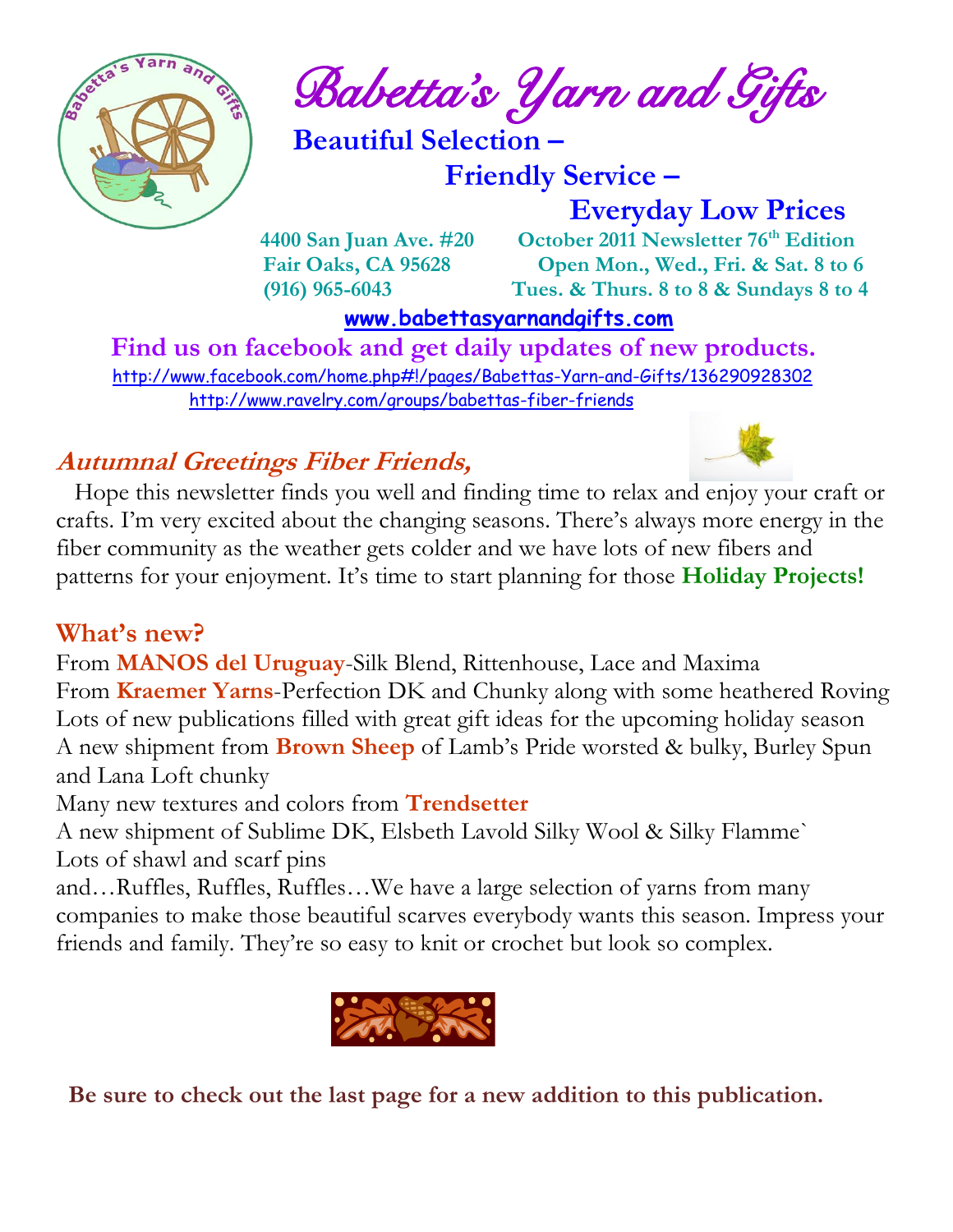

 $\int_{a}^{\frac{1}{2}} \mathbf{A} \mathbf{B}^{\frac{1}{2}}$  Babetta's Yarn and Gifts

 **Beautiful Selection –**

 **Friendly Service –**

 **Everyday Low Prices**

 **4400 San Juan Ave. #20 October 2011 Newsletter 76th Edition Fair Oaks, CA 95628 Open Mon., Wed., Fri. & Sat. 8 to 6 (916) 965-6043 Tues. & Thurs. 8 to 8 & Sundays 8 to 4** 

 **[www.babettasyarnandgifts.com](http://www.babettasyarnandgifts.com/)**

 **Find us on facebook and get daily updates of new products.**  <http://www.facebook.com/home.php#!/pages/Babettas-Yarn-and-Gifts/136290928302> <http://www.ravelry.com/groups/babettas-fiber-friends>

## **Autumnal Greetings Fiber Friends,**



 Hope this newsletter finds you well and finding time to relax and enjoy your craft or crafts. I'm very excited about the changing seasons. There's always more energy in the fiber community as the weather gets colder and we have lots of new fibers and patterns for your enjoyment. It's time to start planning for those **Holiday Projects!**

## **What's new?**

From **MANOS del Uruguay**-Silk Blend, Rittenhouse, Lace and Maxima From **Kraemer Yarns**-Perfection DK and Chunky along with some heathered Roving Lots of new publications filled with great gift ideas for the upcoming holiday season A new shipment from **Brown Sheep** of Lamb's Pride worsted & bulky, Burley Spun and Lana Loft chunky

Many new textures and colors from **Trendsetter**

A new shipment of Sublime DK, Elsbeth Lavold Silky Wool & Silky Flamme` Lots of shawl and scarf pins

and…Ruffles, Ruffles, Ruffles…We have a large selection of yarns from many companies to make those beautiful scarves everybody wants this season. Impress your friends and family. They're so easy to knit or crochet but look so complex.



 **Be sure to check out the last page for a new addition to this publication.**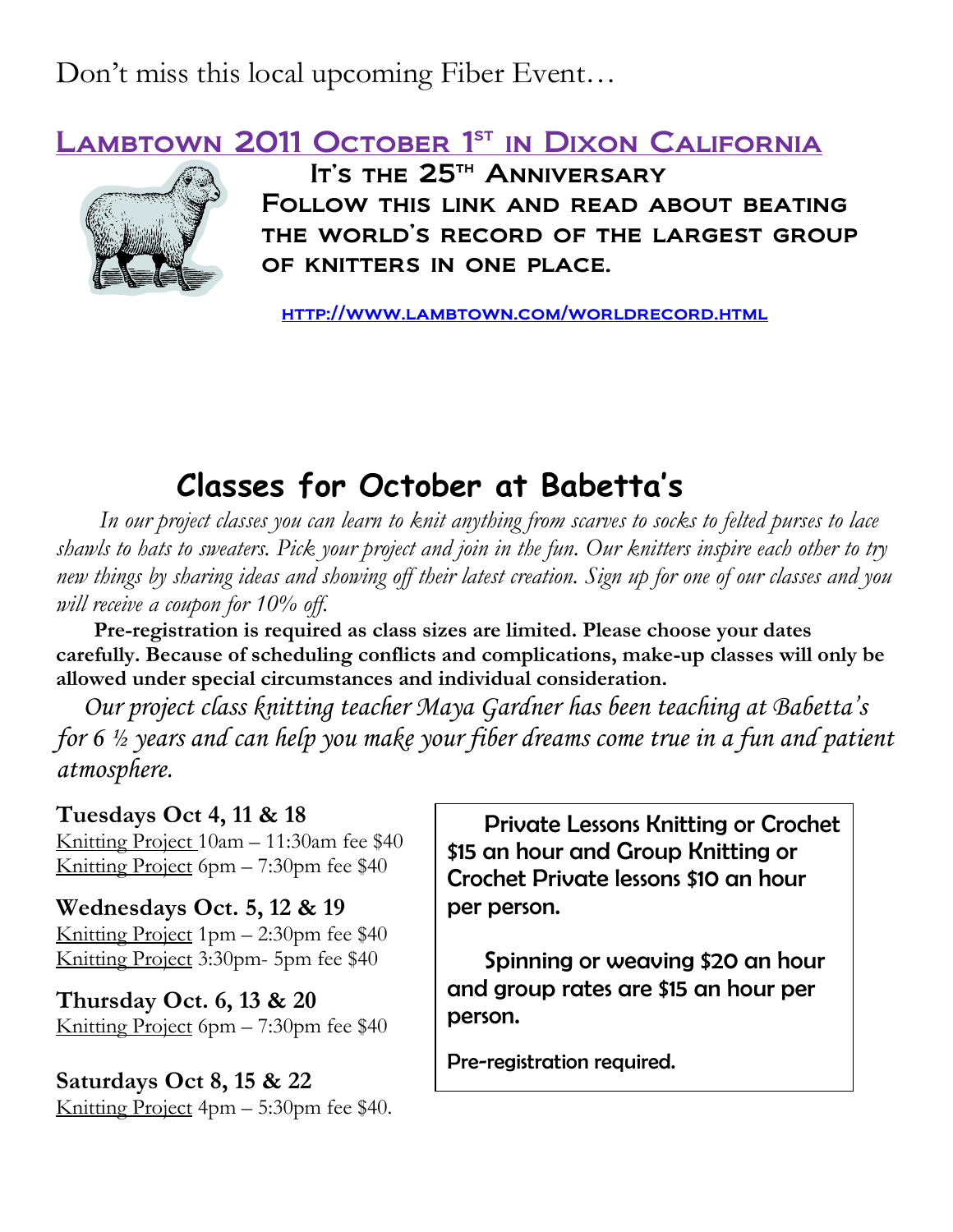Don't miss this local upcoming Fiber Event…

LAMBTOWN 2011 OCTOBER 1ST IN DIXON CALIFORNIA



It's the 25<sup>th</sup> Anniversary Follow this link and read about beating the world's record of the largest group of knitters in one place.

<http://www.lambtown.com/worldrecord.html>

# **Classes for October at Babetta's**

 *In our project classes you can learn to knit anything from scarves to socks to felted purses to lace shawls to hats to sweaters. Pick your project and join in the fun. Our knitters inspire each other to try new things by sharing ideas and showing off their latest creation. Sign up for one of our classes and you will receive a coupon for 10% off.*

 **Pre-registration is required as class sizes are limited. Please choose your dates carefully. Because of scheduling conflicts and complications, make-up classes will only be allowed under special circumstances and individual consideration.**

*Our project class knitting teacher Maya Gardner has been teaching at Babetta's for 6 ½ years and can help you make your fiber dreams come true in a fun and patient atmosphere.*

### **Tuesdays Oct 4, 11 & 18**

Knitting Project 10am – 11:30am fee \$40 Knitting Project 6pm – 7:30pm fee \$40

#### **Wednesdays Oct. 5, 12 & 19**

Knitting Project 1pm – 2:30pm fee \$40 Knitting Project 3:30pm- 5pm fee \$40

**Thursday Oct. 6, 13 & 20** Knitting Project 6pm – 7:30pm fee \$40

**Saturdays Oct 8, 15 & 22** Knitting Project 4pm – 5:30pm fee \$40.

 Private Lessons Knitting or Crochet \$15 an hour and Group Knitting or Crochet Private lessons \$10 an hour per person.

 Spinning or weaving \$20 an hour and group rates are \$15 an hour per person.

Pre-registration required.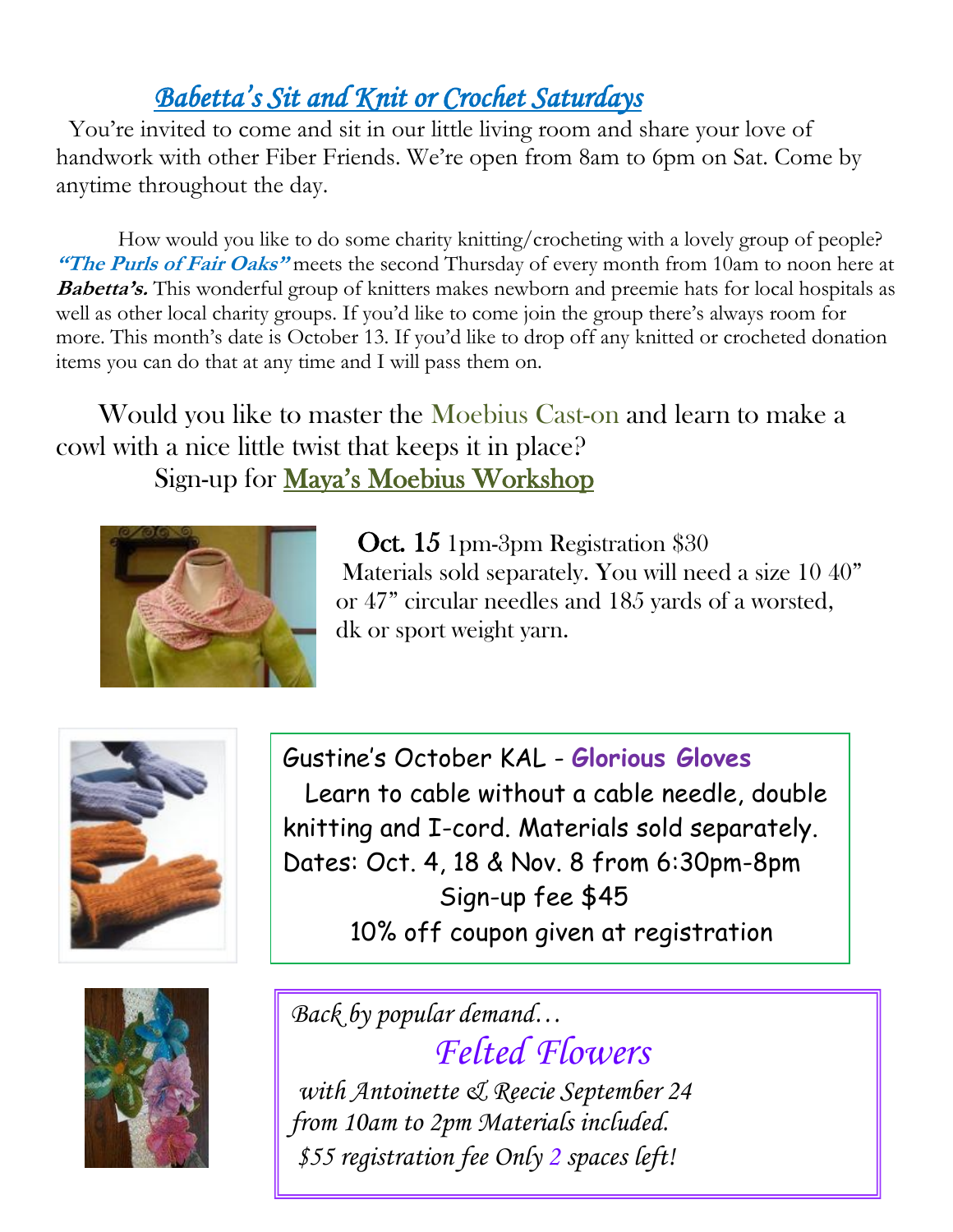# *Babetta's Sit and Knit or Crochet Saturdays*

You're invited to come and sit in our little living room and share your love of handwork with other Fiber Friends. We're open from 8am to 6pm on Sat. Come by anytime throughout the day.

 How would you like to do some charity knitting/crocheting with a lovely group of people? **"The Purls of Fair Oaks"** meets the second Thursday of every month from 10am to noon here at **Babetta's.** This wonderful group of knitters makes newborn and preemie hats for local hospitals as well as other local charity groups. If you'd like to come join the group there's always room for more. This month's date is October 13. If you'd like to drop off any knitted or crocheted donation items you can do that at any time and I will pass them on.

 Would you like to master the Moebius Cast-on and learn to make a cowl with a nice little twist that keeps it in place? Sign-up for Maya's Moebius Workshop



 Oct. 15 1pm-3pm Registration \$30 Materials sold separately. You will need a size 10 40" or 47" circular needles and 185 yards of a worsted, dk or sport weight yarn.



Gustine's October KAL - **Glorious Gloves** Learn to cable without a cable needle, double knitting and I-cord. Materials sold separately. Dates: Oct. 4, 18 & Nov. 8 from 6:30pm-8pm Sign-up fee \$45 10% off coupon given at registration



*Back by popular demand… Felted Flowers with Antoinette & Reecie September 24 from 10am to 2pm Materials included. \$55 registration fee Only 2 spaces left!*